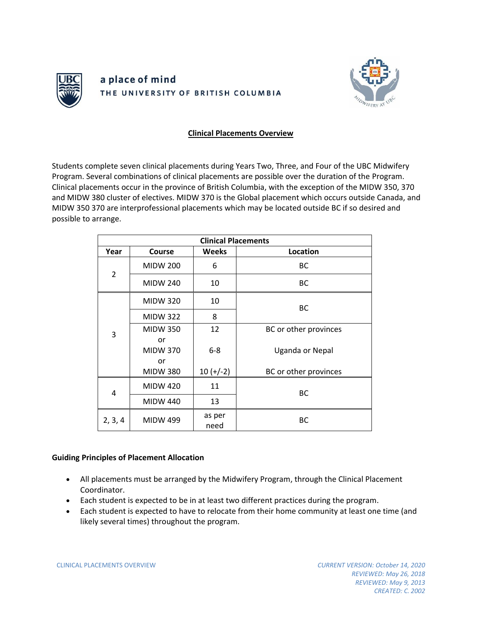

## a place of mind THE UNIVERSITY OF BRITISH COLUMBIA



## **Clinical Placements Overview**

Students complete seven clinical placements during Years Two, Three, and Four of the UBC Midwifery Program. Several combinations of clinical placements are possible over the duration of the Program. Clinical placements occur in the province of British Columbia, with the exception of the MIDW 350, 370 and MIDW 380 cluster of electives. MIDW 370 is the Global placement which occurs outside Canada, and MIDW 350 370 are interprofessional placements which may be located outside BC if so desired and possible to arrange.

| <b>Clinical Placements</b> |                             |                |                       |
|----------------------------|-----------------------------|----------------|-----------------------|
| Year                       | Course                      | <b>Weeks</b>   | Location              |
| $\overline{2}$             | <b>MIDW 200</b>             | 6              | ВC                    |
|                            | <b>MIDW 240</b>             | 10             | ВC                    |
| 3                          | <b>MIDW 320</b>             | 10             | ВC                    |
|                            | <b>MIDW 322</b>             | 8              |                       |
|                            | <b>MIDW 350</b>             | 12             | BC or other provinces |
|                            | or<br><b>MIDW 370</b><br>or | $6 - 8$        | Uganda or Nepal       |
|                            | <b>MIDW 380</b>             | $10 (+/-2)$    | BC or other provinces |
| 4                          | <b>MIDW 420</b>             | 11             | BC                    |
|                            | <b>MIDW 440</b>             | 13             |                       |
| 2, 3, 4                    | <b>MIDW 499</b>             | as per<br>need | BC                    |

## **Guiding Principles of Placement Allocation**

- All placements must be arranged by the Midwifery Program, through the Clinical Placement Coordinator.
- Each student is expected to be in at least two different practices during the program.
- Each student is expected to have to relocate from their home community at least one time (and likely several times) throughout the program.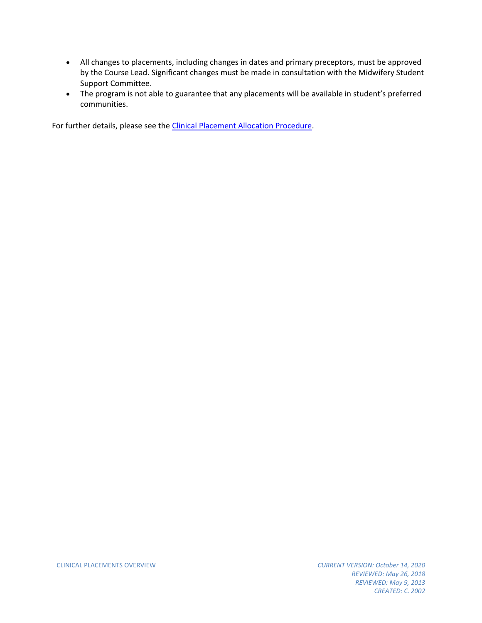- All changes to placements, including changes in dates and primary preceptors, must be approved by the Course Lead. Significant changes must be made in consultation with the Midwifery Student Support Committee.
- The program is not able to guarantee that any placements will be available in student's preferred communities.

For further details, please see th[e Clinical Placement Allocation Procedure.](https://med-fom-midwifery.sites.olt.ubc.ca/files/2021/02/Clinical-Placement-Allocation-Procedure.pdf)